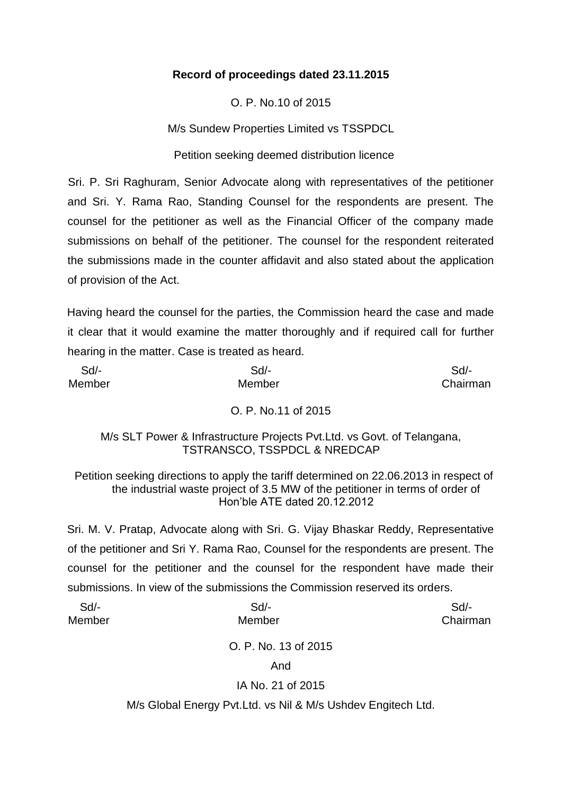### **Record of proceedings dated 23.11.2015**

O. P. No.10 of 2015

M/s Sundew Properties Limited vs TSSPDCL

Petition seeking deemed distribution licence

Sri. P. Sri Raghuram, Senior Advocate along with representatives of the petitioner and Sri. Y. Rama Rao, Standing Counsel for the respondents are present. The counsel for the petitioner as well as the Financial Officer of the company made submissions on behalf of the petitioner. The counsel for the respondent reiterated the submissions made in the counter affidavit and also stated about the application of provision of the Act.

Having heard the counsel for the parties, the Commission heard the case and made it clear that it would examine the matter thoroughly and if required call for further hearing in the matter. Case is treated as heard.

| Sd     | Sd                  | $Sd$ -   |
|--------|---------------------|----------|
| Member | Member              | Chairman |
|        | O. P. No.11 of 2015 |          |

M/s SLT Power & Infrastructure Projects Pvt.Ltd. vs Govt. of Telangana, TSTRANSCO, TSSPDCL & NREDCAP

Petition seeking directions to apply the tariff determined on 22.06.2013 in respect of the industrial waste project of 3.5 MW of the petitioner in terms of order of Hon'ble ATE dated 20.12.2012

Sri. M. V. Pratap, Advocate along with Sri. G. Vijay Bhaskar Reddy, Representative of the petitioner and Sri Y. Rama Rao, Counsel for the respondents are present. The counsel for the petitioner and the counsel for the respondent have made their submissions. In view of the submissions the Commission reserved its orders.

| $Sd$ - | $Sd$ -                                                        | Sd       |
|--------|---------------------------------------------------------------|----------|
| Member | Member                                                        | Chairman |
|        | O. P. No. 13 of 2015                                          |          |
|        | And                                                           |          |
|        | IA No. 21 of 2015                                             |          |
|        | M/s Global Energy Pvt. Ltd. vs Nil & M/s Ushdev Engitech Ltd. |          |
|        |                                                               |          |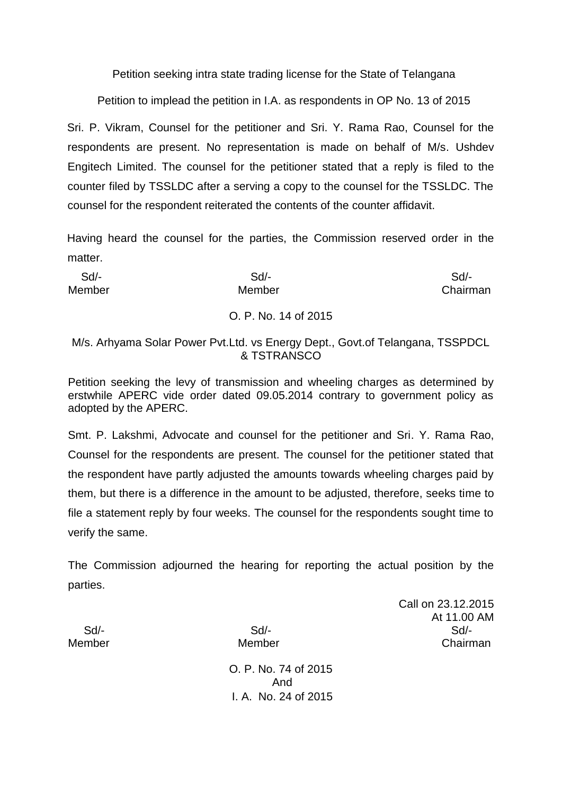Petition seeking intra state trading license for the State of Telangana

Petition to implead the petition in I.A. as respondents in OP No. 13 of 2015

Sri. P. Vikram, Counsel for the petitioner and Sri. Y. Rama Rao, Counsel for the respondents are present. No representation is made on behalf of M/s. Ushdev Engitech Limited. The counsel for the petitioner stated that a reply is filed to the counter filed by TSSLDC after a serving a copy to the counsel for the TSSLDC. The counsel for the respondent reiterated the contents of the counter affidavit.

Having heard the counsel for the parties, the Commission reserved order in the matter.

| Sd/-   | Sd                   | $Sd$ -   |
|--------|----------------------|----------|
| Member | Member               | Chairman |
|        | O. P. No. 14 of 2015 |          |

M/s. Arhyama Solar Power Pvt.Ltd. vs Energy Dept., Govt.of Telangana, TSSPDCL & TSTRANSCO

Petition seeking the levy of transmission and wheeling charges as determined by erstwhile APERC vide order dated 09.05.2014 contrary to government policy as adopted by the APERC.

Smt. P. Lakshmi, Advocate and counsel for the petitioner and Sri. Y. Rama Rao, Counsel for the respondents are present. The counsel for the petitioner stated that the respondent have partly adjusted the amounts towards wheeling charges paid by them, but there is a difference in the amount to be adjusted, therefore, seeks time to file a statement reply by four weeks. The counsel for the respondents sought time to verify the same.

The Commission adjourned the hearing for reporting the actual position by the parties.

Call on 23.12.2015 At 11.00 AM Sd/- Sd/- Sd/- Member Member Chairman

O. P. No. 74 of 2015 And I. A. No. 24 of 2015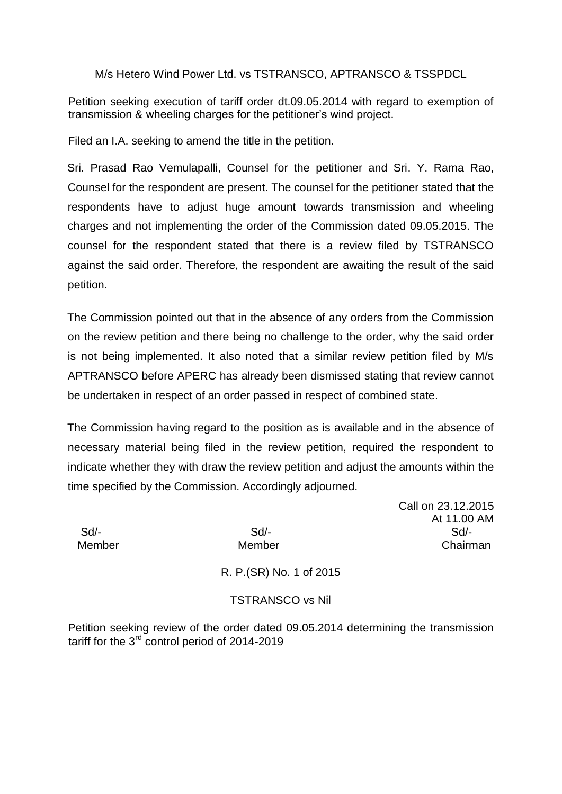M/s Hetero Wind Power Ltd. vs TSTRANSCO, APTRANSCO & TSSPDCL

Petition seeking execution of tariff order dt.09.05.2014 with regard to exemption of transmission & wheeling charges for the petitioner's wind project.

Filed an I.A. seeking to amend the title in the petition.

Sri. Prasad Rao Vemulapalli, Counsel for the petitioner and Sri. Y. Rama Rao, Counsel for the respondent are present. The counsel for the petitioner stated that the respondents have to adjust huge amount towards transmission and wheeling charges and not implementing the order of the Commission dated 09.05.2015. The counsel for the respondent stated that there is a review filed by TSTRANSCO against the said order. Therefore, the respondent are awaiting the result of the said petition.

The Commission pointed out that in the absence of any orders from the Commission on the review petition and there being no challenge to the order, why the said order is not being implemented. It also noted that a similar review petition filed by M/s APTRANSCO before APERC has already been dismissed stating that review cannot be undertaken in respect of an order passed in respect of combined state.

The Commission having regard to the position as is available and in the absence of necessary material being filed in the review petition, required the respondent to indicate whether they with draw the review petition and adjust the amounts within the time specified by the Commission. Accordingly adjourned.

Call on 23.12.2015 At 11.00 AM Sd/- Sd/- Sd/- Member Member Chairman

R. P.(SR) No. 1 of 2015

## TSTRANSCO vs Nil

Petition seeking review of the order dated 09.05.2014 determining the transmission tariff for the 3<sup>rd</sup> control period of 2014-2019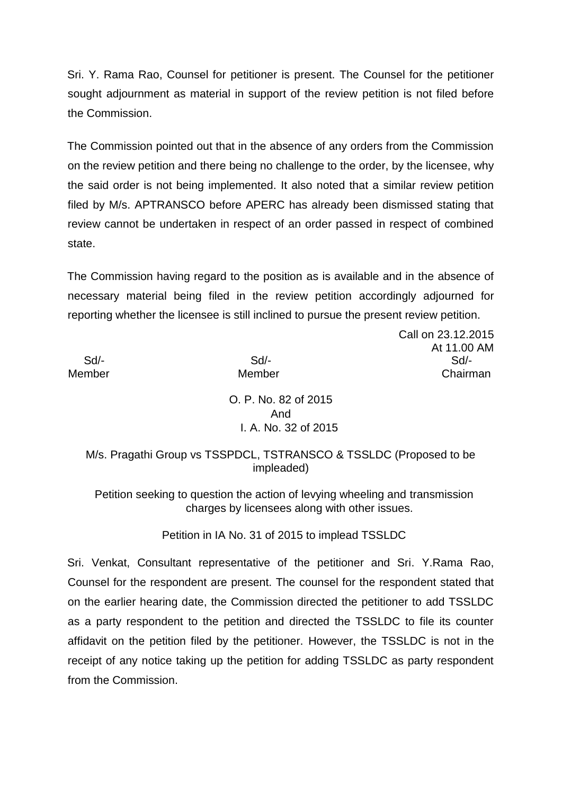Sri. Y. Rama Rao, Counsel for petitioner is present. The Counsel for the petitioner sought adjournment as material in support of the review petition is not filed before the Commission.

The Commission pointed out that in the absence of any orders from the Commission on the review petition and there being no challenge to the order, by the licensee, why the said order is not being implemented. It also noted that a similar review petition filed by M/s. APTRANSCO before APERC has already been dismissed stating that review cannot be undertaken in respect of an order passed in respect of combined state.

The Commission having regard to the position as is available and in the absence of necessary material being filed in the review petition accordingly adjourned for reporting whether the licensee is still inclined to pursue the present review petition.

Call on 23.12.2015 At 11.00 AM Sd/- Sd/- Sd/- Member Member Chairman

> O. P. No. 82 of 2015 And I. A. No. 32 of 2015

### M/s. Pragathi Group vs TSSPDCL, TSTRANSCO & TSSLDC (Proposed to be impleaded)

Petition seeking to question the action of levying wheeling and transmission charges by licensees along with other issues.

# Petition in IA No. 31 of 2015 to implead TSSLDC

Sri. Venkat, Consultant representative of the petitioner and Sri. Y.Rama Rao, Counsel for the respondent are present. The counsel for the respondent stated that on the earlier hearing date, the Commission directed the petitioner to add TSSLDC as a party respondent to the petition and directed the TSSLDC to file its counter affidavit on the petition filed by the petitioner. However, the TSSLDC is not in the receipt of any notice taking up the petition for adding TSSLDC as party respondent from the Commission.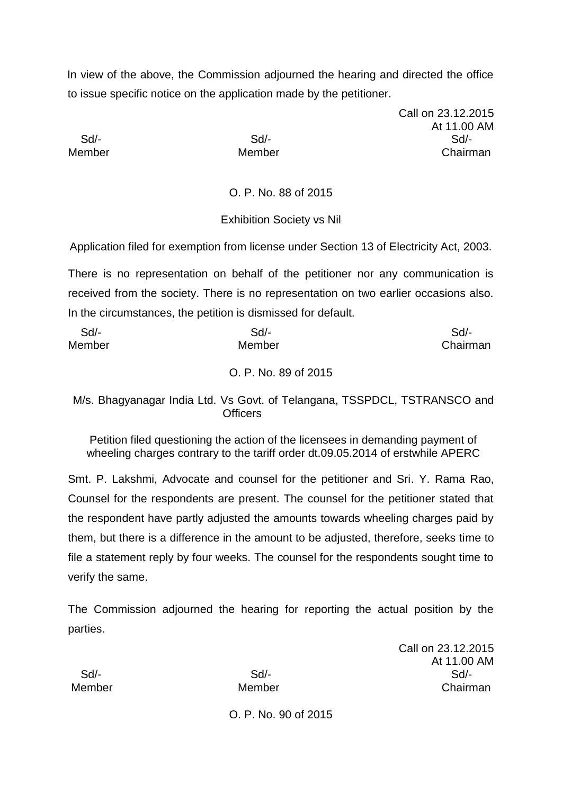In view of the above, the Commission adjourned the hearing and directed the office to issue specific notice on the application made by the petitioner.

Call on 23.12.2015 At 11.00 AM Sd/- Sd/- Sd/- Member Member Chairman

O. P. No. 88 of 2015

Exhibition Society vs Nil

Application filed for exemption from license under Section 13 of Electricity Act, 2003.

There is no representation on behalf of the petitioner nor any communication is received from the society. There is no representation on two earlier occasions also. In the circumstances, the petition is dismissed for default.

| Sd/-   | Sd/-   | Sd/-     |  |
|--------|--------|----------|--|
| Member | Member | Chairman |  |
|        |        |          |  |

O. P. No. 89 of 2015

M/s. Bhagyanagar India Ltd. Vs Govt. of Telangana, TSSPDCL, TSTRANSCO and **Officers** 

Petition filed questioning the action of the licensees in demanding payment of wheeling charges contrary to the tariff order dt.09.05.2014 of erstwhile APERC

Smt. P. Lakshmi, Advocate and counsel for the petitioner and Sri. Y. Rama Rao, Counsel for the respondents are present. The counsel for the petitioner stated that the respondent have partly adjusted the amounts towards wheeling charges paid by them, but there is a difference in the amount to be adjusted, therefore, seeks time to file a statement reply by four weeks. The counsel for the respondents sought time to verify the same.

The Commission adjourned the hearing for reporting the actual position by the parties.

Call on 23.12.2015 At 11.00 AM Sd/- Sd/- Sd/- Member Member Chairman

O. P. No. 90 of 2015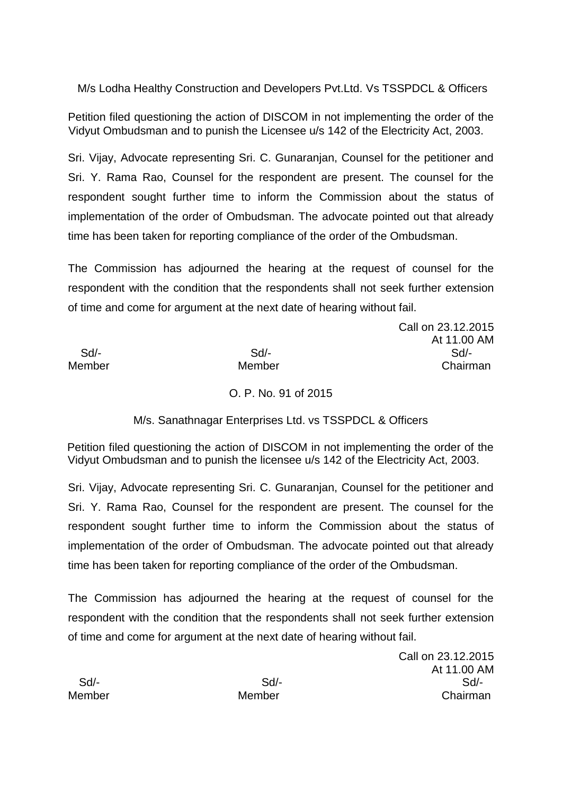M/s Lodha Healthy Construction and Developers Pvt.Ltd. Vs TSSPDCL & Officers

Petition filed questioning the action of DISCOM in not implementing the order of the Vidyut Ombudsman and to punish the Licensee u/s 142 of the Electricity Act, 2003.

Sri. Vijay, Advocate representing Sri. C. Gunaranjan, Counsel for the petitioner and Sri. Y. Rama Rao, Counsel for the respondent are present. The counsel for the respondent sought further time to inform the Commission about the status of implementation of the order of Ombudsman. The advocate pointed out that already time has been taken for reporting compliance of the order of the Ombudsman.

The Commission has adjourned the hearing at the request of counsel for the respondent with the condition that the respondents shall not seek further extension of time and come for argument at the next date of hearing without fail.

 Sd/- Sd/- Sd/- Member Member Chairman

Call on 23.12.2015 At 11.00 AM

O. P. No. 91 of 2015

M/s. Sanathnagar Enterprises Ltd. vs TSSPDCL & Officers

Petition filed questioning the action of DISCOM in not implementing the order of the Vidyut Ombudsman and to punish the licensee u/s 142 of the Electricity Act, 2003.

Sri. Vijay, Advocate representing Sri. C. Gunaranjan, Counsel for the petitioner and Sri. Y. Rama Rao, Counsel for the respondent are present. The counsel for the respondent sought further time to inform the Commission about the status of implementation of the order of Ombudsman. The advocate pointed out that already time has been taken for reporting compliance of the order of the Ombudsman.

The Commission has adjourned the hearing at the request of counsel for the respondent with the condition that the respondents shall not seek further extension of time and come for argument at the next date of hearing without fail.

Call on 23.12.2015 At 11.00 AM Sd/- Sd/- Sd/- Member Member Chairman